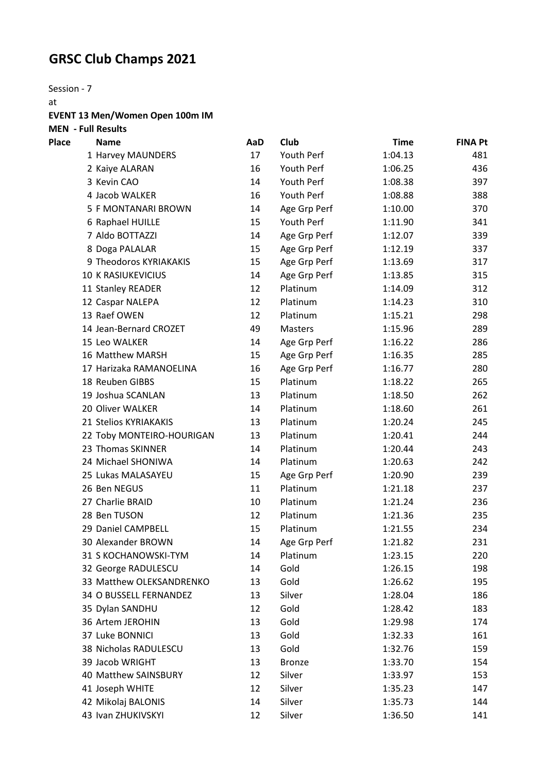## **GRSC Club Champs 2021**

Session - 7

at **EVENT 13 Men/Women Open 100m IM** 

**MEN - Full Results**

| Place | <b>Name</b>               | AaD | Club          | <b>Time</b> | <b>FINA Pt</b> |
|-------|---------------------------|-----|---------------|-------------|----------------|
|       | 1 Harvey MAUNDERS         | 17  | Youth Perf    | 1:04.13     | 481            |
|       | 2 Kaiye ALARAN            | 16  | Youth Perf    | 1:06.25     | 436            |
|       | 3 Kevin CAO               | 14  | Youth Perf    | 1:08.38     | 397            |
|       | 4 Jacob WALKER            | 16  | Youth Perf    | 1:08.88     | 388            |
|       | 5 F MONTANARI BROWN       | 14  | Age Grp Perf  | 1:10.00     | 370            |
|       | 6 Raphael HUILLE          | 15  | Youth Perf    | 1:11.90     | 341            |
|       | 7 Aldo BOTTAZZI           | 14  | Age Grp Perf  | 1:12.07     | 339            |
|       | 8 Doga PALALAR            | 15  | Age Grp Perf  | 1:12.19     | 337            |
|       | 9 Theodoros KYRIAKAKIS    | 15  | Age Grp Perf  | 1:13.69     | 317            |
|       | <b>10 K RASIUKEVICIUS</b> | 14  | Age Grp Perf  | 1:13.85     | 315            |
|       | 11 Stanley READER         | 12  | Platinum      | 1:14.09     | 312            |
|       | 12 Caspar NALEPA          | 12  | Platinum      | 1:14.23     | 310            |
|       | 13 Raef OWEN              | 12  | Platinum      | 1:15.21     | 298            |
|       | 14 Jean-Bernard CROZET    | 49  | Masters       | 1:15.96     | 289            |
|       | 15 Leo WALKER             | 14  | Age Grp Perf  | 1:16.22     | 286            |
|       | 16 Matthew MARSH          | 15  | Age Grp Perf  | 1:16.35     | 285            |
|       | 17 Harizaka RAMANOELINA   | 16  | Age Grp Perf  | 1:16.77     | 280            |
|       | 18 Reuben GIBBS           | 15  | Platinum      | 1:18.22     | 265            |
|       | 19 Joshua SCANLAN         | 13  | Platinum      | 1:18.50     | 262            |
|       | 20 Oliver WALKER          | 14  | Platinum      | 1:18.60     | 261            |
|       | 21 Stelios KYRIAKAKIS     | 13  | Platinum      | 1:20.24     | 245            |
|       | 22 Toby MONTEIRO-HOURIGAN | 13  | Platinum      | 1:20.41     | 244            |
|       | 23 Thomas SKINNER         | 14  | Platinum      | 1:20.44     | 243            |
|       | 24 Michael SHONIWA        | 14  | Platinum      | 1:20.63     | 242            |
|       | 25 Lukas MALASAYEU        | 15  | Age Grp Perf  | 1:20.90     | 239            |
|       | 26 Ben NEGUS              | 11  | Platinum      | 1:21.18     | 237            |
|       | 27 Charlie BRAID          | 10  | Platinum      | 1:21.24     | 236            |
|       | 28 Ben TUSON              | 12  | Platinum      | 1:21.36     | 235            |
|       | 29 Daniel CAMPBELL        | 15  | Platinum      | 1:21.55     | 234            |
|       | 30 Alexander BROWN        | 14  | Age Grp Perf  | 1:21.82     | 231            |
|       | 31 S KOCHANOWSKI-TYM      | 14  | Platinum      | 1:23.15     | 220            |
|       | 32 George RADULESCU       | 14  | Gold          | 1:26.15     | 198            |
|       | 33 Matthew OLEKSANDRENKO  | 13  | Gold          | 1:26.62     | 195            |
|       | 34 O BUSSELL FERNANDEZ    | 13  | Silver        | 1:28.04     | 186            |
|       | 35 Dylan SANDHU           | 12  | Gold          | 1:28.42     | 183            |
|       | 36 Artem JEROHIN          | 13  | Gold          | 1:29.98     | 174            |
|       | 37 Luke BONNICI           | 13  | Gold          | 1:32.33     | 161            |
|       | 38 Nicholas RADULESCU     | 13  | Gold          | 1:32.76     | 159            |
|       | 39 Jacob WRIGHT           | 13  | <b>Bronze</b> | 1:33.70     | 154            |
|       | 40 Matthew SAINSBURY      | 12  | Silver        | 1:33.97     | 153            |
|       | 41 Joseph WHITE           | 12  | Silver        | 1:35.23     | 147            |
|       | 42 Mikolaj BALONIS        | 14  | Silver        | 1:35.73     | 144            |
|       | 43 Ivan ZHUKIVSKYI        | 12  | Silver        | 1:36.50     | 141            |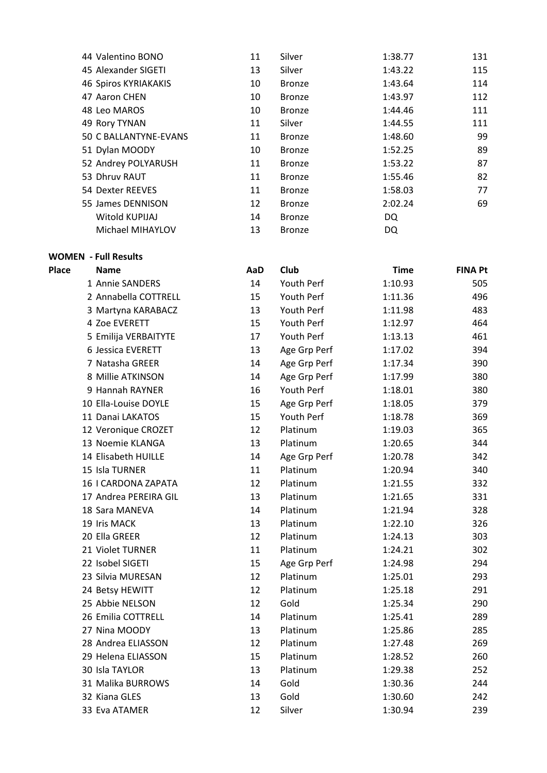| 44 Valentino BONO           | 11 | Silver        | 1:38.77 | 131 |
|-----------------------------|----|---------------|---------|-----|
| 45 Alexander SIGETI         | 13 | Silver        | 1:43.22 | 115 |
| <b>46 Spiros KYRIAKAKIS</b> | 10 | <b>Bronze</b> | 1:43.64 | 114 |
| 47 Aaron CHEN               | 10 | <b>Bronze</b> | 1:43.97 | 112 |
| 48 Leo MAROS                | 10 | <b>Bronze</b> | 1:44.46 | 111 |
| 49 Rory TYNAN               | 11 | Silver        | 1:44.55 | 111 |
| 50 C BALLANTYNE-EVANS       | 11 | <b>Bronze</b> | 1:48.60 | 99  |
| 51 Dylan MOODY              | 10 | <b>Bronze</b> | 1:52.25 | 89  |
| 52 Andrey POLYARUSH         | 11 | <b>Bronze</b> | 1:53.22 | 87  |
| 53 Dhruv RAUT               | 11 | <b>Bronze</b> | 1:55.46 | 82  |
| 54 Dexter REEVES            | 11 | <b>Bronze</b> | 1:58.03 | 77  |
| 55 James DENNISON           | 12 | <b>Bronze</b> | 2:02.24 | 69  |
| Witold KUPIJAJ              | 14 | <b>Bronze</b> | DQ      |     |
| Michael MIHAYLOV            | 13 | <b>Bronze</b> | DQ      |     |

**WOMEN - Full Results**

| <b>lace</b> | <b>Name</b>           | AaD | Club         | <b>Time</b> | <b>FINA Pt</b> |
|-------------|-----------------------|-----|--------------|-------------|----------------|
|             | 1 Annie SANDERS       | 14  | Youth Perf   | 1:10.93     | 505            |
|             | 2 Annabella COTTRELL  | 15  | Youth Perf   | 1:11.36     | 496            |
|             | 3 Martyna KARABACZ    | 13  | Youth Perf   | 1:11.98     | 483            |
|             | 4 Zoe EVERETT         | 15  | Youth Perf   | 1:12.97     | 464            |
|             | 5 Emilija VERBAITYTE  | 17  | Youth Perf   | 1:13.13     | 461            |
|             | 6 Jessica EVERETT     | 13  | Age Grp Perf | 1:17.02     | 394            |
|             | 7 Natasha GREER       | 14  | Age Grp Perf | 1:17.34     | 390            |
|             | 8 Millie ATKINSON     | 14  | Age Grp Perf | 1:17.99     | 380            |
|             | 9 Hannah RAYNER       | 16  | Youth Perf   | 1:18.01     | 380            |
|             | 10 Ella-Louise DOYLE  | 15  | Age Grp Perf | 1:18.05     | 379            |
|             | 11 Danai LAKATOS      | 15  | Youth Perf   | 1:18.78     | 369            |
|             | 12 Veronique CROZET   | 12  | Platinum     | 1:19.03     | 365            |
|             | 13 Noemie KLANGA      | 13  | Platinum     | 1:20.65     | 344            |
|             | 14 Elisabeth HUILLE   | 14  | Age Grp Perf | 1:20.78     | 342            |
|             | 15 Isla TURNER        | 11  | Platinum     | 1:20.94     | 340            |
|             | 16   CARDONA ZAPATA   | 12  | Platinum     | 1:21.55     | 332            |
|             | 17 Andrea PEREIRA GIL | 13  | Platinum     | 1:21.65     | 331            |
|             | 18 Sara MANEVA        | 14  | Platinum     | 1:21.94     | 328            |
|             | 19 Iris MACK          | 13  | Platinum     | 1:22.10     | 326            |
|             | 20 Ella GREER         | 12  | Platinum     | 1:24.13     | 303            |
|             | 21 Violet TURNER      | 11  | Platinum     | 1:24.21     | 302            |
|             | 22 Isobel SIGETI      | 15  | Age Grp Perf | 1:24.98     | 294            |
|             | 23 Silvia MURESAN     | 12  | Platinum     | 1:25.01     | 293            |
|             | 24 Betsy HEWITT       | 12  | Platinum     | 1:25.18     | 291            |
|             | 25 Abbie NELSON       | 12  | Gold         | 1:25.34     | 290            |
|             | 26 Emilia COTTRELL    | 14  | Platinum     | 1:25.41     | 289            |
|             | 27 Nina MOODY         | 13  | Platinum     | 1:25.86     | 285            |
|             | 28 Andrea ELIASSON    | 12  | Platinum     | 1:27.48     | 269            |
|             | 29 Helena ELIASSON    | 15  | Platinum     | 1:28.52     | 260            |
|             | 30 Isla TAYLOR        | 13  | Platinum     | 1:29.38     | 252            |
|             | 31 Malika BURROWS     | 14  | Gold         | 1:30.36     | 244            |
|             | 32 Kiana GLES         | 13  | Gold         | 1:30.60     | 242            |
|             | 33 Eva ATAMER         | 12  | Silver       | 1:30.94     | 239            |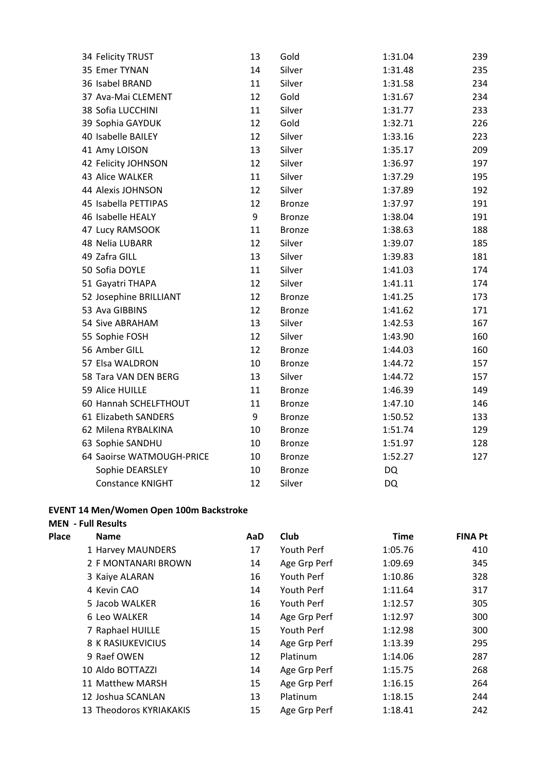| 34 Felicity TRUST         | 13 | Gold          | 1:31.04   | 239 |
|---------------------------|----|---------------|-----------|-----|
| 35 Emer TYNAN             | 14 | Silver        | 1:31.48   | 235 |
| 36 Isabel BRAND           | 11 | Silver        | 1:31.58   | 234 |
| 37 Ava-Mai CLEMENT        | 12 | Gold          | 1:31.67   | 234 |
| 38 Sofia LUCCHINI         | 11 | Silver        | 1:31.77   | 233 |
| 39 Sophia GAYDUK          | 12 | Gold          | 1:32.71   | 226 |
| 40 Isabelle BAILEY        | 12 | Silver        | 1:33.16   | 223 |
| 41 Amy LOISON             | 13 | Silver        | 1:35.17   | 209 |
| 42 Felicity JOHNSON       | 12 | Silver        | 1:36.97   | 197 |
| 43 Alice WALKER           | 11 | Silver        | 1:37.29   | 195 |
| 44 Alexis JOHNSON         | 12 | Silver        | 1:37.89   | 192 |
| 45 Isabella PETTIPAS      | 12 | <b>Bronze</b> | 1:37.97   | 191 |
| 46 Isabelle HEALY         | 9  | <b>Bronze</b> | 1:38.04   | 191 |
| 47 Lucy RAMSOOK           | 11 | <b>Bronze</b> | 1:38.63   | 188 |
| 48 Nelia LUBARR           | 12 | Silver        | 1:39.07   | 185 |
| 49 Zafra GILL             | 13 | Silver        | 1:39.83   | 181 |
| 50 Sofia DOYLE            | 11 | Silver        | 1:41.03   | 174 |
| 51 Gayatri THAPA          | 12 | Silver        | 1:41.11   | 174 |
| 52 Josephine BRILLIANT    | 12 | <b>Bronze</b> | 1:41.25   | 173 |
| 53 Ava GIBBINS            | 12 | <b>Bronze</b> | 1:41.62   | 171 |
| 54 Sive ABRAHAM           | 13 | Silver        | 1:42.53   | 167 |
| 55 Sophie FOSH            | 12 | Silver        | 1:43.90   | 160 |
| 56 Amber GILL             | 12 | <b>Bronze</b> | 1:44.03   | 160 |
| 57 Elsa WALDRON           | 10 | <b>Bronze</b> | 1:44.72   | 157 |
| 58 Tara VAN DEN BERG      | 13 | Silver        | 1:44.72   | 157 |
| 59 Alice HUILLE           | 11 | <b>Bronze</b> | 1:46.39   | 149 |
| 60 Hannah SCHELFTHOUT     | 11 | <b>Bronze</b> | 1:47.10   | 146 |
| 61 Elizabeth SANDERS      | 9  | Bronze        | 1:50.52   | 133 |
| 62 Milena RYBALKINA       | 10 | <b>Bronze</b> | 1:51.74   | 129 |
| 63 Sophie SANDHU          | 10 | <b>Bronze</b> | 1:51.97   | 128 |
| 64 Saoirse WATMOUGH-PRICE | 10 | <b>Bronze</b> | 1:52.27   | 127 |
| Sophie DEARSLEY           | 10 | <b>Bronze</b> | <b>DQ</b> |     |
| <b>Constance KNIGHT</b>   | 12 | Silver        | <b>DQ</b> |     |

## **EVENT 14 Men/Women Open 100m Backstroke**

## **MEN - Full Results**

| Place | <b>Name</b>              | AaD | Club         | <b>Time</b> | <b>FINA Pt</b> |
|-------|--------------------------|-----|--------------|-------------|----------------|
|       | 1 Harvey MAUNDERS        | 17  | Youth Perf   | 1:05.76     | 410            |
|       | 2 F MONTANARI BROWN      | 14  | Age Grp Perf | 1:09.69     | 345            |
|       | 3 Kaiye ALARAN           | 16  | Youth Perf   | 1:10.86     | 328            |
|       | 4 Kevin CAO              | 14  | Youth Perf   | 1:11.64     | 317            |
|       | 5 Jacob WALKER           | 16  | Youth Perf   | 1:12.57     | 305            |
|       | 6 Leo WALKER             | 14  | Age Grp Perf | 1:12.97     | 300            |
|       | 7 Raphael HUILLE         | 15  | Youth Perf   | 1:12.98     | 300            |
|       | <b>8 K RASIUKEVICIUS</b> | 14  | Age Grp Perf | 1:13.39     | 295            |
|       | 9 Raef OWEN              | 12  | Platinum     | 1:14.06     | 287            |
|       | 10 Aldo BOTTAZZI         | 14  | Age Grp Perf | 1:15.75     | 268            |
|       | 11 Matthew MARSH         | 15  | Age Grp Perf | 1:16.15     | 264            |
|       | 12 Joshua SCANLAN        | 13  | Platinum     | 1:18.15     | 244            |
|       | 13 Theodoros KYRIAKAKIS  | 15  | Age Grp Perf | 1:18.41     | 242            |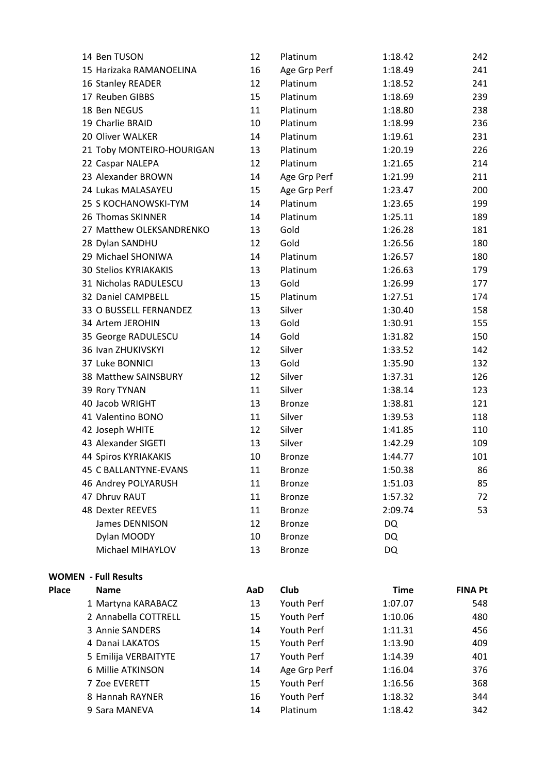|       | 14 Ben TUSON                 | 12  | Platinum      | 1:18.42     | 242            |
|-------|------------------------------|-----|---------------|-------------|----------------|
|       | 15 Harizaka RAMANOELINA      | 16  | Age Grp Perf  | 1:18.49     | 241            |
|       | 16 Stanley READER            | 12  | Platinum      | 1:18.52     | 241            |
|       | 17 Reuben GIBBS              | 15  | Platinum      | 1:18.69     | 239            |
|       | 18 Ben NEGUS                 | 11  | Platinum      | 1:18.80     | 238            |
|       | 19 Charlie BRAID             | 10  | Platinum      | 1:18.99     | 236            |
|       | 20 Oliver WALKER             | 14  | Platinum      | 1:19.61     | 231            |
|       | 21 Toby MONTEIRO-HOURIGAN    | 13  | Platinum      | 1:20.19     | 226            |
|       | 22 Caspar NALEPA             | 12  | Platinum      | 1:21.65     | 214            |
|       | 23 Alexander BROWN           | 14  | Age Grp Perf  | 1:21.99     | 211            |
|       | 24 Lukas MALASAYEU           | 15  | Age Grp Perf  | 1:23.47     | 200            |
|       | 25 S KOCHANOWSKI-TYM         | 14  | Platinum      | 1:23.65     | 199            |
|       | 26 Thomas SKINNER            | 14  | Platinum      | 1:25.11     | 189            |
|       | 27 Matthew OLEKSANDRENKO     | 13  | Gold          | 1:26.28     | 181            |
|       | 28 Dylan SANDHU              | 12  | Gold          | 1:26.56     | 180            |
|       | 29 Michael SHONIWA           | 14  | Platinum      | 1:26.57     | 180            |
|       | <b>30 Stelios KYRIAKAKIS</b> | 13  | Platinum      | 1:26.63     | 179            |
|       | 31 Nicholas RADULESCU        | 13  | Gold          | 1:26.99     | 177            |
|       | 32 Daniel CAMPBELL           | 15  | Platinum      | 1:27.51     | 174            |
|       | 33 O BUSSELL FERNANDEZ       | 13  | Silver        | 1:30.40     | 158            |
|       | 34 Artem JEROHIN             | 13  | Gold          | 1:30.91     | 155            |
|       | 35 George RADULESCU          | 14  | Gold          | 1:31.82     | 150            |
|       | 36 Ivan ZHUKIVSKYI           | 12  | Silver        | 1:33.52     | 142            |
|       | 37 Luke BONNICI              | 13  | Gold          | 1:35.90     | 132            |
|       | 38 Matthew SAINSBURY         | 12  | Silver        | 1:37.31     | 126            |
|       | 39 Rory TYNAN                | 11  | Silver        | 1:38.14     | 123            |
|       | 40 Jacob WRIGHT              | 13  | <b>Bronze</b> | 1:38.81     | 121            |
|       | 41 Valentino BONO            | 11  | Silver        | 1:39.53     | 118            |
|       | 42 Joseph WHITE              | 12  | Silver        | 1:41.85     | 110            |
|       | 43 Alexander SIGETI          | 13  | Silver        | 1:42.29     | 109            |
|       | 44 Spiros KYRIAKAKIS         | 10  | <b>Bronze</b> | 1:44.77     | 101            |
|       | <b>45 C BALLANTYNE-EVANS</b> | 11  | <b>Bronze</b> | 1:50.38     | 86             |
|       | 46 Andrey POLYARUSH          | 11  | <b>Bronze</b> | 1:51.03     | 85             |
|       | 47 Dhruv RAUT                | 11  | <b>Bronze</b> | 1:57.32     | 72             |
|       | 48 Dexter REEVES             | 11  | <b>Bronze</b> | 2:09.74     | 53             |
|       | James DENNISON               | 12  | <b>Bronze</b> | DQ          |                |
|       | Dylan MOODY                  | 10  | <b>Bronze</b> | DQ          |                |
|       | Michael MIHAYLOV             | 13  | <b>Bronze</b> | DQ          |                |
|       | <b>WOMEN - Full Results</b>  |     |               |             |                |
| Place | <b>Name</b>                  | AaD | Club          | <b>Time</b> | <b>FINA Pt</b> |
|       | 1 Martyna KARABACZ           | 13  | Youth Perf    | 1:07.07     | 548            |
|       | 2 Annabella COTTRELL         | 15  | Youth Perf    | 1:10.06     | 480            |
|       | 3 Annie SANDERS              | 14  | Youth Perf    | 1:11.31     | 456            |
|       | 4 Danai LAKATOS              | 15  | Youth Perf    | 1:13.90     | 409            |
|       | 5 Emilija VERBAITYTE         | 17  | Youth Perf    | 1:14.39     | 401            |
|       | 6 Millie ATKINSON            | 14  | Age Grp Perf  | 1:16.04     | 376            |
|       | 7 Zoe EVERETT                | 15  | Youth Perf    | 1:16.56     | 368            |
|       | 8 Hannah RAYNER              | 16  | Youth Perf    | 1:18.32     | 344            |
|       | 9 Sara MANEVA                | 14  | Platinum      | 1:18.42     | 342            |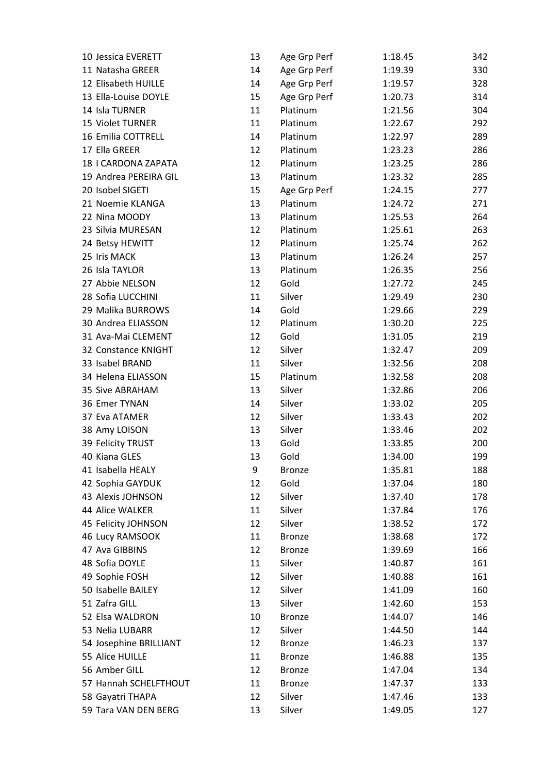| 10 Jessica EVERETT     | 13 | Age Grp Perf  | 1:18.45 | 342 |
|------------------------|----|---------------|---------|-----|
| 11 Natasha GREER       | 14 | Age Grp Perf  | 1:19.39 | 330 |
| 12 Elisabeth HUILLE    | 14 | Age Grp Perf  | 1:19.57 | 328 |
| 13 Ella-Louise DOYLE   | 15 | Age Grp Perf  | 1:20.73 | 314 |
| 14 Isla TURNER         | 11 | Platinum      | 1:21.56 | 304 |
| 15 Violet TURNER       | 11 | Platinum      | 1:22.67 | 292 |
| 16 Emilia COTTRELL     | 14 | Platinum      | 1:22.97 | 289 |
| 17 Ella GREER          | 12 | Platinum      | 1:23.23 | 286 |
| 18   CARDONA ZAPATA    | 12 | Platinum      | 1:23.25 | 286 |
| 19 Andrea PEREIRA GIL  | 13 | Platinum      | 1:23.32 | 285 |
| 20 Isobel SIGETI       | 15 | Age Grp Perf  | 1:24.15 | 277 |
| 21 Noemie KLANGA       | 13 | Platinum      | 1:24.72 | 271 |
| 22 Nina MOODY          | 13 | Platinum      | 1:25.53 | 264 |
| 23 Silvia MURESAN      | 12 | Platinum      | 1:25.61 | 263 |
| 24 Betsy HEWITT        | 12 | Platinum      | 1:25.74 | 262 |
| 25 Iris MACK           | 13 | Platinum      | 1:26.24 | 257 |
| 26 Isla TAYLOR         | 13 | Platinum      | 1:26.35 | 256 |
| 27 Abbie NELSON        | 12 | Gold          | 1:27.72 | 245 |
| 28 Sofia LUCCHINI      | 11 | Silver        | 1:29.49 | 230 |
| 29 Malika BURROWS      | 14 | Gold          | 1:29.66 | 229 |
| 30 Andrea ELIASSON     | 12 | Platinum      | 1:30.20 | 225 |
| 31 Ava-Mai CLEMENT     | 12 | Gold          | 1:31.05 | 219 |
| 32 Constance KNIGHT    | 12 | Silver        | 1:32.47 | 209 |
| 33 Isabel BRAND        | 11 | Silver        | 1:32.56 | 208 |
| 34 Helena ELIASSON     | 15 | Platinum      | 1:32.58 | 208 |
| 35 Sive ABRAHAM        | 13 | Silver        | 1:32.86 | 206 |
| 36 Emer TYNAN          | 14 | Silver        | 1:33.02 | 205 |
| 37 Eva ATAMER          | 12 | Silver        | 1:33.43 | 202 |
| 38 Amy LOISON          | 13 | Silver        | 1:33.46 | 202 |
| 39 Felicity TRUST      | 13 | Gold          | 1:33.85 | 200 |
| 40 Kiana GLES          | 13 | Gold          | 1:34.00 | 199 |
| 41 Isabella HEALY      | 9  | <b>Bronze</b> | 1:35.81 | 188 |
| 42 Sophia GAYDUK       | 12 | Gold          | 1:37.04 | 180 |
| 43 Alexis JOHNSON      | 12 | Silver        | 1:37.40 | 178 |
| 44 Alice WALKER        | 11 | Silver        | 1:37.84 | 176 |
| 45 Felicity JOHNSON    | 12 | Silver        | 1:38.52 | 172 |
| 46 Lucy RAMSOOK        | 11 | <b>Bronze</b> | 1:38.68 | 172 |
| 47 Ava GIBBINS         | 12 | <b>Bronze</b> | 1:39.69 | 166 |
| 48 Sofia DOYLE         | 11 | Silver        | 1:40.87 | 161 |
| 49 Sophie FOSH         | 12 | Silver        | 1:40.88 | 161 |
| 50 Isabelle BAILEY     | 12 | Silver        | 1:41.09 | 160 |
| 51 Zafra GILL          | 13 | Silver        | 1:42.60 | 153 |
| 52 Elsa WALDRON        | 10 | <b>Bronze</b> | 1:44.07 | 146 |
| 53 Nelia LUBARR        | 12 | Silver        | 1:44.50 | 144 |
| 54 Josephine BRILLIANT | 12 | <b>Bronze</b> | 1:46.23 | 137 |
| 55 Alice HUILLE        | 11 | <b>Bronze</b> | 1:46.88 | 135 |
| 56 Amber GILL          | 12 | <b>Bronze</b> | 1:47.04 | 134 |
| 57 Hannah SCHELFTHOUT  | 11 | <b>Bronze</b> | 1:47.37 | 133 |
| 58 Gayatri THAPA       | 12 | Silver        | 1:47.46 | 133 |
| 59 Tara VAN DEN BERG   | 13 | Silver        | 1:49.05 | 127 |
|                        |    |               |         |     |